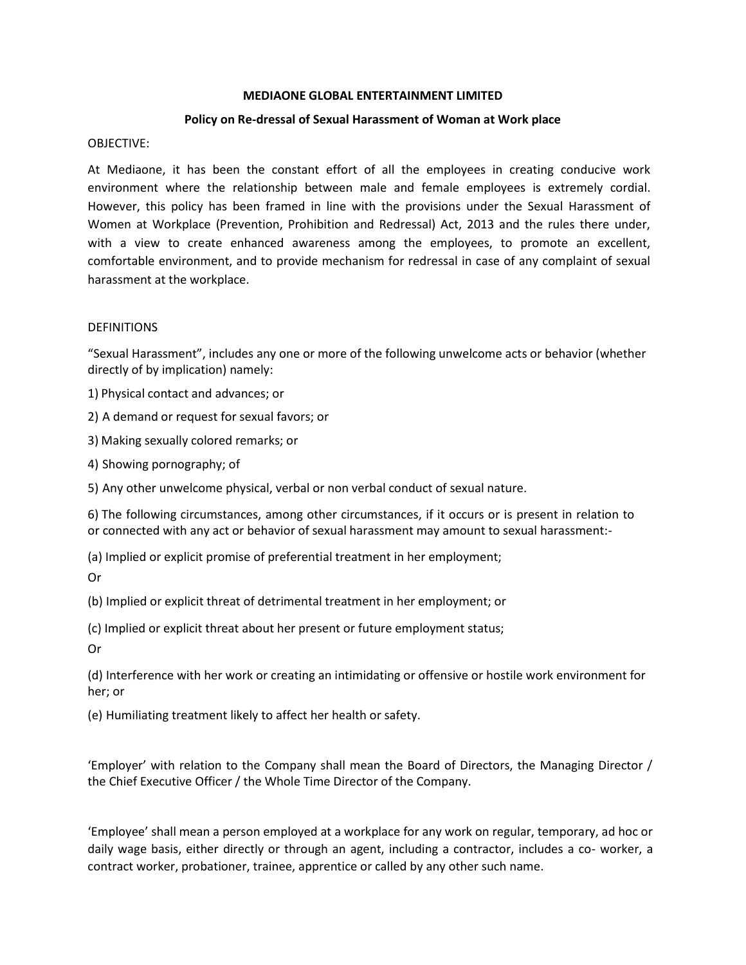#### **MEDIAONE GLOBAL ENTERTAINMENT LIMITED**

### **Policy on Re-dressal of Sexual Harassment of Woman at Work place**

### OBJECTIVE:

At Mediaone, it has been the constant effort of all the employees in creating conducive work environment where the relationship between male and female employees is extremely cordial. However, this policy has been framed in line with the provisions under the Sexual Harassment of Women at Workplace (Prevention, Prohibition and Redressal) Act, 2013 and the rules there under, with a view to create enhanced awareness among the employees, to promote an excellent, comfortable environment, and to provide mechanism for redressal in case of any complaint of sexual harassment at the workplace.

## DEFINITIONS

"Sexual Harassment", includes any one or more of the following unwelcome acts or behavior (whether directly of by implication) namely:

1) Physical contact and advances; or

2) A demand or request for sexual favors; or

3) Making sexually colored remarks; or

4) Showing pornography; of

5) Any other unwelcome physical, verbal or non verbal conduct of sexual nature.

6) The following circumstances, among other circumstances, if it occurs or is present in relation to or connected with any act or behavior of sexual harassment may amount to sexual harassment:-

(a) Implied or explicit promise of preferential treatment in her employment;

Or

(b) Implied or explicit threat of detrimental treatment in her employment; or

(c) Implied or explicit threat about her present or future employment status;

Or

(d) Interference with her work or creating an intimidating or offensive or hostile work environment for her; or

(e) Humiliating treatment likely to affect her health or safety.

'Employer' with relation to the Company shall mean the Board of Directors, the Managing Director / the Chief Executive Officer / the Whole Time Director of the Company.

'Employee' shall mean a person employed at a workplace for any work on regular, temporary, ad hoc or daily wage basis, either directly or through an agent, including a contractor, includes a co- worker, a contract worker, probationer, trainee, apprentice or called by any other such name.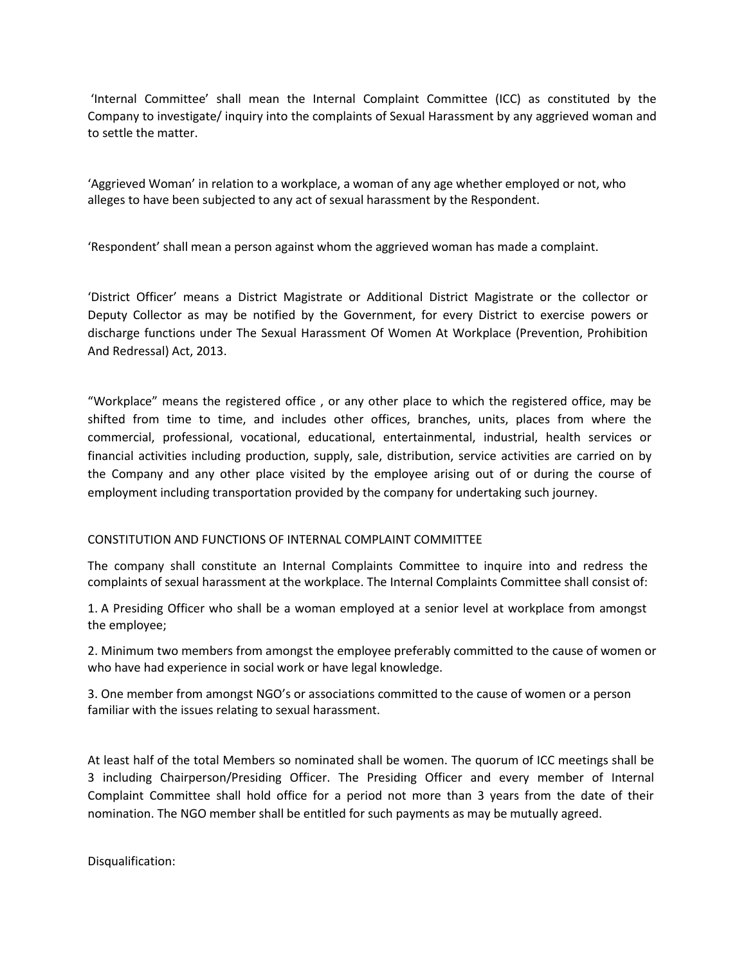'Internal Committee' shall mean the Internal Complaint Committee (ICC) as constituted by the Company to investigate/ inquiry into the complaints of Sexual Harassment by any aggrieved woman and to settle the matter.

'Aggrieved Woman' in relation to a workplace, a woman of any age whether employed or not, who alleges to have been subjected to any act of sexual harassment by the Respondent.

'Respondent' shall mean a person against whom the aggrieved woman has made a complaint.

'District Officer' means a District Magistrate or Additional District Magistrate or the collector or Deputy Collector as may be notified by the Government, for every District to exercise powers or discharge functions under The Sexual Harassment Of Women At Workplace (Prevention, Prohibition And Redressal) Act, 2013.

"Workplace" means the registered office , or any other place to which the registered office, may be shifted from time to time, and includes other offices, branches, units, places from where the commercial, professional, vocational, educational, entertainmental, industrial, health services or financial activities including production, supply, sale, distribution, service activities are carried on by the Company and any other place visited by the employee arising out of or during the course of employment including transportation provided by the company for undertaking such journey.

# CONSTITUTION AND FUNCTIONS OF INTERNAL COMPLAINT COMMITTEE

The company shall constitute an Internal Complaints Committee to inquire into and redress the complaints of sexual harassment at the workplace. The Internal Complaints Committee shall consist of:

1. A Presiding Officer who shall be a woman employed at a senior level at workplace from amongst the employee;

2. Minimum two members from amongst the employee preferably committed to the cause of women or who have had experience in social work or have legal knowledge.

3. One member from amongst NGO's or associations committed to the cause of women or a person familiar with the issues relating to sexual harassment.

At least half of the total Members so nominated shall be women. The quorum of ICC meetings shall be 3 including Chairperson/Presiding Officer. The Presiding Officer and every member of Internal Complaint Committee shall hold office for a period not more than 3 years from the date of their nomination. The NGO member shall be entitled for such payments as may be mutually agreed.

Disqualification: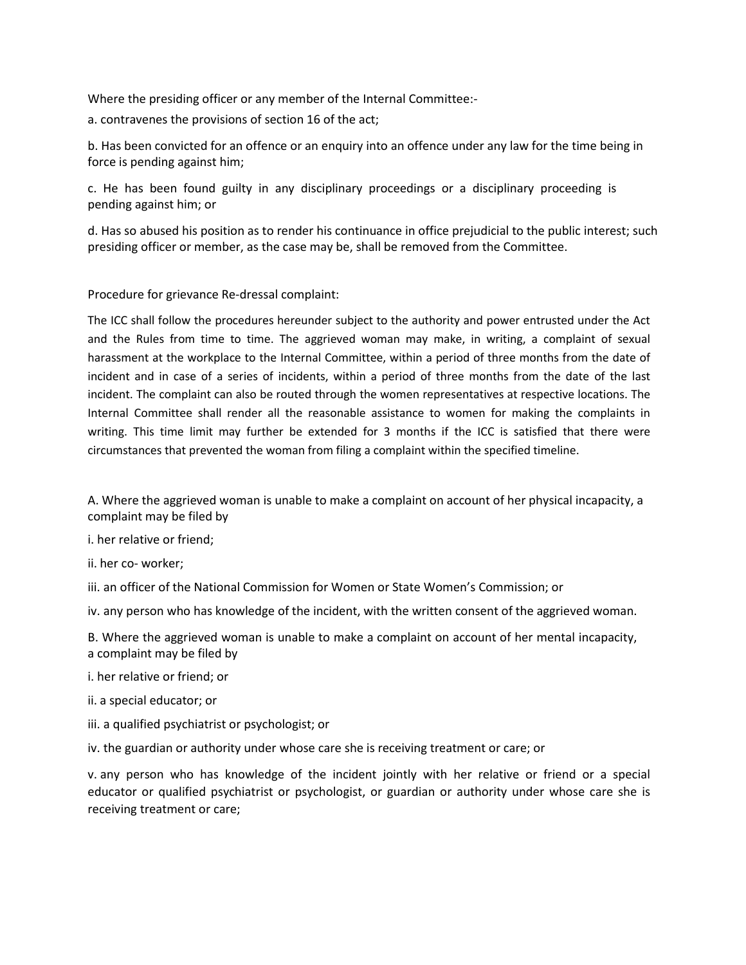Where the presiding officer or any member of the Internal Committee:-

a. contravenes the provisions of section 16 of the act;

b. Has been convicted for an offence or an enquiry into an offence under any law for the time being in force is pending against him;

c. He has been found guilty in any disciplinary proceedings or a disciplinary proceeding is pending against him; or

d. Has so abused his position as to render his continuance in office prejudicial to the public interest; such presiding officer or member, as the case may be, shall be removed from the Committee.

Procedure for grievance Re-dressal complaint:

The ICC shall follow the procedures hereunder subject to the authority and power entrusted under the Act and the Rules from time to time. The aggrieved woman may make, in writing, a complaint of sexual harassment at the workplace to the Internal Committee, within a period of three months from the date of incident and in case of a series of incidents, within a period of three months from the date of the last incident. The complaint can also be routed through the women representatives at respective locations. The Internal Committee shall render all the reasonable assistance to women for making the complaints in writing. This time limit may further be extended for 3 months if the ICC is satisfied that there were circumstances that prevented the woman from filing a complaint within the specified timeline.

A. Where the aggrieved woman is unable to make a complaint on account of her physical incapacity, a complaint may be filed by

i. her relative or friend;

ii. her co- worker;

iii. an officer of the National Commission for Women or State Women's Commission; or

iv. any person who has knowledge of the incident, with the written consent of the aggrieved woman.

B. Where the aggrieved woman is unable to make a complaint on account of her mental incapacity, a complaint may be filed by

- i. her relative or friend; or
- ii. a special educator; or
- iii. a qualified psychiatrist or psychologist; or

iv. the guardian or authority under whose care she is receiving treatment or care; or

v. any person who has knowledge of the incident jointly with her relative or friend or a special educator or qualified psychiatrist or psychologist, or guardian or authority under whose care she is receiving treatment or care;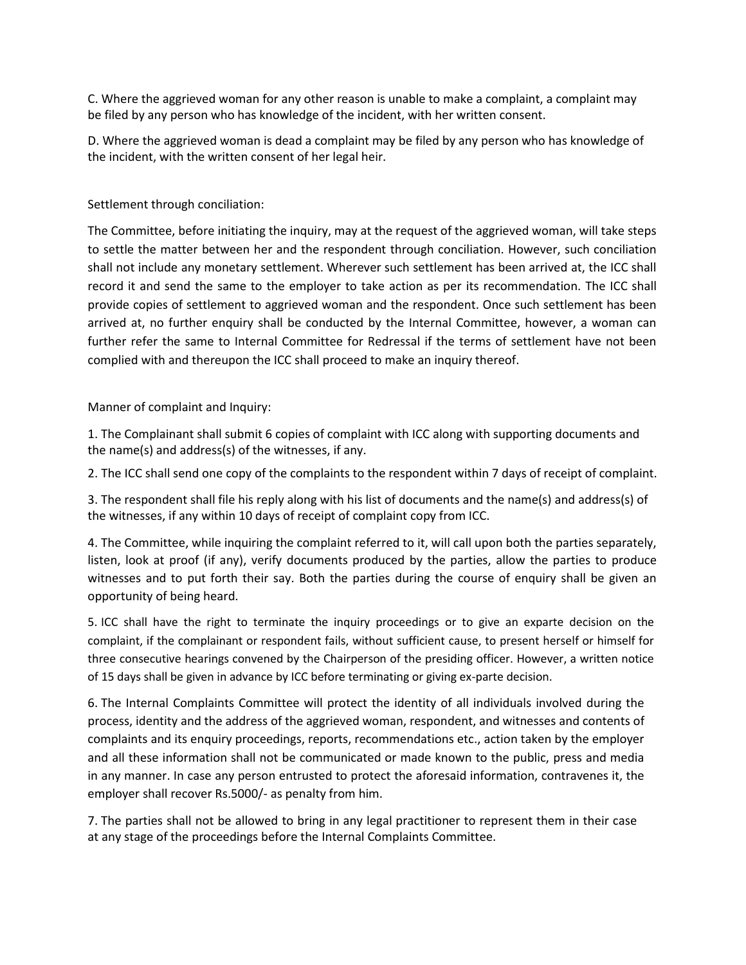C. Where the aggrieved woman for any other reason is unable to make a complaint, a complaint may be filed by any person who has knowledge of the incident, with her written consent.

D. Where the aggrieved woman is dead a complaint may be filed by any person who has knowledge of the incident, with the written consent of her legal heir.

#### Settlement through conciliation:

The Committee, before initiating the inquiry, may at the request of the aggrieved woman, will take steps to settle the matter between her and the respondent through conciliation. However, such conciliation shall not include any monetary settlement. Wherever such settlement has been arrived at, the ICC shall record it and send the same to the employer to take action as per its recommendation. The ICC shall provide copies of settlement to aggrieved woman and the respondent. Once such settlement has been arrived at, no further enquiry shall be conducted by the Internal Committee, however, a woman can further refer the same to Internal Committee for Redressal if the terms of settlement have not been complied with and thereupon the ICC shall proceed to make an inquiry thereof.

Manner of complaint and Inquiry:

1. The Complainant shall submit 6 copies of complaint with ICC along with supporting documents and the name(s) and address(s) of the witnesses, if any.

2. The ICC shall send one copy of the complaints to the respondent within 7 days of receipt of complaint.

3. The respondent shall file his reply along with his list of documents and the name(s) and address(s) of the witnesses, if any within 10 days of receipt of complaint copy from ICC.

4. The Committee, while inquiring the complaint referred to it, will call upon both the parties separately, listen, look at proof (if any), verify documents produced by the parties, allow the parties to produce witnesses and to put forth their say. Both the parties during the course of enquiry shall be given an opportunity of being heard.

5. ICC shall have the right to terminate the inquiry proceedings or to give an exparte decision on the complaint, if the complainant or respondent fails, without sufficient cause, to present herself or himself for three consecutive hearings convened by the Chairperson of the presiding officer. However, a written notice of 15 days shall be given in advance by ICC before terminating or giving ex-parte decision.

6. The Internal Complaints Committee will protect the identity of all individuals involved during the process, identity and the address of the aggrieved woman, respondent, and witnesses and contents of complaints and its enquiry proceedings, reports, recommendations etc., action taken by the employer and all these information shall not be communicated or made known to the public, press and media in any manner. In case any person entrusted to protect the aforesaid information, contravenes it, the employer shall recover Rs.5000/- as penalty from him.

7. The parties shall not be allowed to bring in any legal practitioner to represent them in their case at any stage of the proceedings before the Internal Complaints Committee.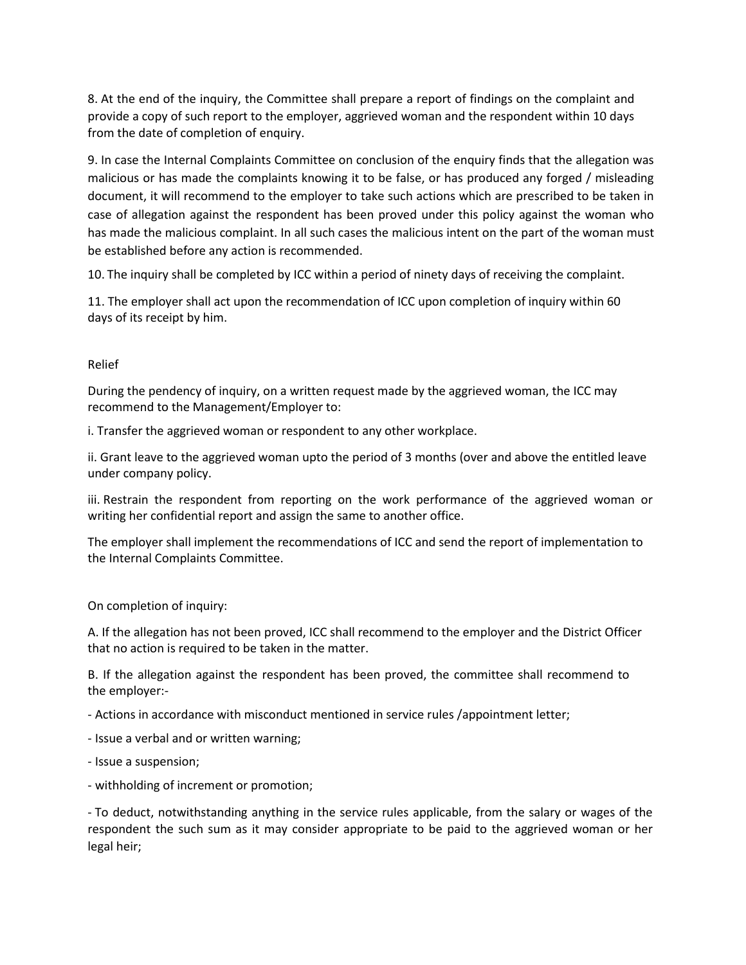8. At the end of the inquiry, the Committee shall prepare a report of findings on the complaint and provide a copy of such report to the employer, aggrieved woman and the respondent within 10 days from the date of completion of enquiry.

9. In case the Internal Complaints Committee on conclusion of the enquiry finds that the allegation was malicious or has made the complaints knowing it to be false, or has produced any forged / misleading document, it will recommend to the employer to take such actions which are prescribed to be taken in case of allegation against the respondent has been proved under this policy against the woman who has made the malicious complaint. In all such cases the malicious intent on the part of the woman must be established before any action is recommended.

10. The inquiry shall be completed by ICC within a period of ninety days of receiving the complaint.

11. The employer shall act upon the recommendation of ICC upon completion of inquiry within 60 days of its receipt by him.

## Relief

During the pendency of inquiry, on a written request made by the aggrieved woman, the ICC may recommend to the Management/Employer to:

i. Transfer the aggrieved woman or respondent to any other workplace.

ii. Grant leave to the aggrieved woman upto the period of 3 months (over and above the entitled leave under company policy.

iii. Restrain the respondent from reporting on the work performance of the aggrieved woman or writing her confidential report and assign the same to another office.

The employer shall implement the recommendations of ICC and send the report of implementation to the Internal Complaints Committee.

On completion of inquiry:

A. If the allegation has not been proved, ICC shall recommend to the employer and the District Officer that no action is required to be taken in the matter.

B. If the allegation against the respondent has been proved, the committee shall recommend to the employer:-

- Actions in accordance with misconduct mentioned in service rules /appointment letter;
- Issue a verbal and or written warning;
- Issue a suspension;
- withholding of increment or promotion;

- To deduct, notwithstanding anything in the service rules applicable, from the salary or wages of the respondent the such sum as it may consider appropriate to be paid to the aggrieved woman or her legal heir;